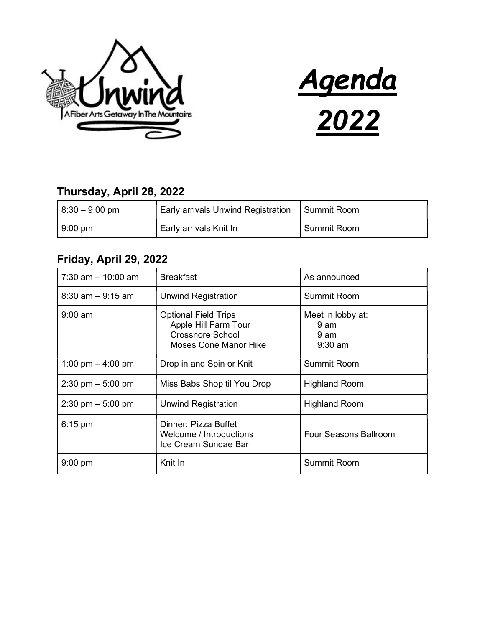



#### Thursday, April 28, 2022

| $ 8:30 - 9:00$ pm | <b>Early arrivals Unwind Registration</b> | Summit Room        |
|-------------------|-------------------------------------------|--------------------|
| $9:00 \text{ pm}$ | Early arrivals Knit In                    | <b>Summit Room</b> |

### Friday, April 29, 2022

| $7:30$ am $-10:00$ am               | <b>Breakfast</b>                                                                                               | As announced                                   |
|-------------------------------------|----------------------------------------------------------------------------------------------------------------|------------------------------------------------|
| $8:30$ am $-9:15$ am                | <b>Unwind Registration</b>                                                                                     | <b>Summit Room</b>                             |
| $9:00 \text{ am}$                   | <b>Optional Field Trips</b><br>Apple Hill Farm Tour<br><b>Crossnore School</b><br><b>Moses Cone Manor Hike</b> | Meet in lobby at:<br>9 am<br>9 am<br>$9:30$ am |
| 1:00 pm $-$ 4:00 pm                 | Drop in and Spin or Knit                                                                                       | <b>Summit Room</b>                             |
| $2:30 \text{ pm} - 5:00 \text{ pm}$ | Miss Babs Shop til You Drop                                                                                    | <b>Highland Room</b>                           |
| $2:30 \text{ pm} - 5:00 \text{ pm}$ | Unwind Registration                                                                                            | <b>Highland Room</b>                           |
| $6:15$ pm                           | Dinner: Pizza Buffet<br>Welcome / Introductions<br>Ice Cream Sundae Bar                                        | Four Seasons Ballroom                          |
| $9:00$ pm                           | Knit In                                                                                                        | Summit Room                                    |